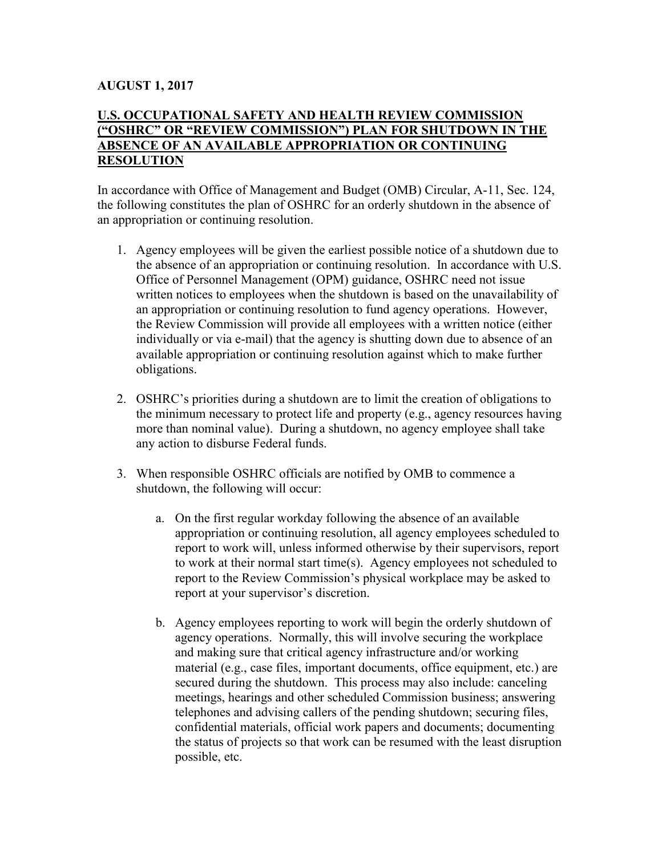## **AUGUST 1, 2017**

## **U.S. OCCUPATIONAL SAFETY AND HEALTH REVIEW COMMISSION ("OSHRC" OR "REVIEW COMMISSION") PLAN FOR SHUTDOWN IN THE ABSENCE OF AN AVAILABLE APPROPRIATION OR CONTINUING RESOLUTION**

In accordance with Office of Management and Budget (OMB) Circular, A-11, Sec. 124, the following constitutes the plan of OSHRC for an orderly shutdown in the absence of an appropriation or continuing resolution.

- 1. Agency employees will be given the earliest possible notice of a shutdown due to the absence of an appropriation or continuing resolution. In accordance with U.S. Office of Personnel Management (OPM) guidance, OSHRC need not issue written notices to employees when the shutdown is based on the unavailability of an appropriation or continuing resolution to fund agency operations. However, the Review Commission will provide all employees with a written notice (either individually or via e-mail) that the agency is shutting down due to absence of an available appropriation or continuing resolution against which to make further obligations.
- 2. OSHRC's priorities during a shutdown are to limit the creation of obligations to the minimum necessary to protect life and property (e.g., agency resources having more than nominal value). During a shutdown, no agency employee shall take any action to disburse Federal funds.
- 3. When responsible OSHRC officials are notified by OMB to commence a shutdown, the following will occur:
	- a. On the first regular workday following the absence of an available appropriation or continuing resolution, all agency employees scheduled to report to work will, unless informed otherwise by their supervisors, report to work at their normal start time(s). Agency employees not scheduled to report to the Review Commission's physical workplace may be asked to report at your supervisor's discretion.
	- b. Agency employees reporting to work will begin the orderly shutdown of agency operations. Normally, this will involve securing the workplace and making sure that critical agency infrastructure and/or working material (e.g., case files, important documents, office equipment, etc.) are secured during the shutdown. This process may also include: canceling meetings, hearings and other scheduled Commission business; answering telephones and advising callers of the pending shutdown; securing files, confidential materials, official work papers and documents; documenting the status of projects so that work can be resumed with the least disruption possible, etc.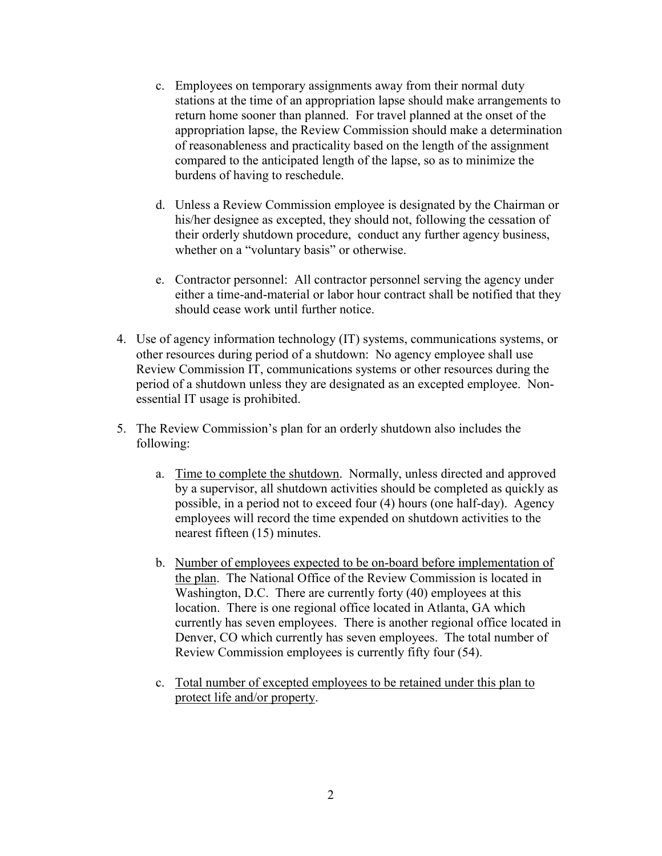- c. Employees on temporary assignments away from their normal duty stations at the time of an appropriation lapse should make arrangements to return home sooner than planned. For travel planned at the onset of the appropriation lapse, the Review Commission should make a determination of reasonableness and practicality based on the length of the assignment compared to the anticipated length of the lapse, so as to minimize the burdens of having to reschedule.
- d. Unless a Review Commission employee is designated by the Chairman or his/her designee as excepted, they should not, following the cessation of their orderly shutdown procedure, conduct any further agency business, whether on a "voluntary basis" or otherwise.
- e. Contractor personnel: All contractor personnel serving the agency under either a time-and-material or labor hour contract shall be notified that they should cease work until further notice.
- 4. Use of agency information technology (IT) systems, communications systems, or other resources during period of a shutdown: No agency employee shall use Review Commission IT, communications systems or other resources during the period of a shutdown unless they are designated as an excepted employee. Nonessential IT usage is prohibited.
- 5. The Review Commission's plan for an orderly shutdown also includes the following:
	- a. Time to complete the shutdown. Normally, unless directed and approved by a supervisor, all shutdown activities should be completed as quickly as possible, in a period not to exceed four (4) hours (one half-day). Agency employees will record the time expended on shutdown activities to the nearest fifteen (15) minutes.
	- b. Number of employees expected to be on-board before implementation of the plan. The National Office of the Review Commission is located in Washington, D.C. There are currently forty (40) employees at this location. There is one regional office located in Atlanta, GA which currently has seven employees. There is another regional office located in Denver, CO which currently has seven employees. The total number of Review Commission employees is currently fifty four (54).
	- c. Total number of excepted employees to be retained under this plan to protect life and/or property.